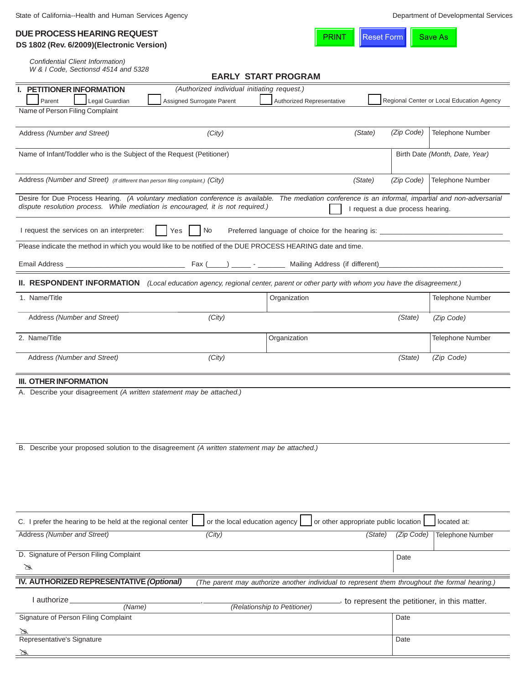| <b>DUE PROCESS HEARING REQUEST</b>         |  |
|--------------------------------------------|--|
| DS 1802 (Rev. 6/2009) (Electronic Version) |  |

**PRINT** Reset Form Save As

| Confidential Client Information) |  |
|----------------------------------|--|

*W & I Code, Sectionsd 4514 and 5328*

|                                                                                                                                                        |                                             | <b>EARLY START PROGRAM</b>                                                                     |                                              |                                           |
|--------------------------------------------------------------------------------------------------------------------------------------------------------|---------------------------------------------|------------------------------------------------------------------------------------------------|----------------------------------------------|-------------------------------------------|
| PETITIONER INFORMATION                                                                                                                                 | (Authorized individual initiating request.) |                                                                                                |                                              |                                           |
| Legal Guardian<br>Parent<br>Name of Person Filing Complaint                                                                                            | Assigned Surrogate Parent                   | Authorized Representative                                                                      |                                              | Regional Center or Local Education Agency |
|                                                                                                                                                        |                                             |                                                                                                |                                              |                                           |
| Address (Number and Street)                                                                                                                            | (City)                                      |                                                                                                | (Zip Code)<br>(State)                        | <b>Telephone Number</b>                   |
|                                                                                                                                                        |                                             |                                                                                                |                                              |                                           |
| Name of Infant/Toddler who is the Subject of the Request (Petitioner)                                                                                  |                                             |                                                                                                |                                              | Birth Date (Month, Date, Year)            |
|                                                                                                                                                        |                                             |                                                                                                |                                              |                                           |
| Address (Number and Street) (If different than person filing complaint.) (City)                                                                        |                                             |                                                                                                | (Zip Code)<br>(State)                        | Telephone Number                          |
| Desire for Due Process Hearing. (A voluntary mediation conference is available. The mediation conference is an informal, impartial and non-adversarial |                                             |                                                                                                |                                              |                                           |
| dispute resolution process. While mediation is encouraged, it is not required.)                                                                        |                                             |                                                                                                | I request a due process hearing.             |                                           |
|                                                                                                                                                        |                                             |                                                                                                |                                              |                                           |
| I request the services on an interpreter:                                                                                                              | No<br>Yes                                   | Preferred language of choice for the hearing is: _______________________________               |                                              |                                           |
| Please indicate the method in which you would like to be notified of the DUE PROCESS HEARING date and time.                                            |                                             |                                                                                                |                                              |                                           |
|                                                                                                                                                        |                                             |                                                                                                |                                              |                                           |
|                                                                                                                                                        |                                             |                                                                                                |                                              |                                           |
|                                                                                                                                                        |                                             |                                                                                                |                                              |                                           |
| <b>II. RESPONDENT INFORMATION</b> (Local education agency, regional center, parent or other party with whom you have the disagreement.)                |                                             |                                                                                                |                                              |                                           |
| 1. Name/Title                                                                                                                                          |                                             | Organization                                                                                   |                                              | Telephone Number                          |
| Address (Number and Street)                                                                                                                            | (City)                                      |                                                                                                | (State)                                      | (Zip Code)                                |
|                                                                                                                                                        |                                             |                                                                                                |                                              |                                           |
| 2. Name/Title                                                                                                                                          |                                             | Organization                                                                                   |                                              | Telephone Number                          |
|                                                                                                                                                        |                                             |                                                                                                |                                              |                                           |
| Address (Number and Street)                                                                                                                            | (City)                                      |                                                                                                | (State)                                      | (Zip Code)                                |
|                                                                                                                                                        |                                             |                                                                                                |                                              |                                           |
| <b>III. OTHER INFORMATION</b>                                                                                                                          |                                             |                                                                                                |                                              |                                           |
| A. Describe your disagreement (A written statement may be attached.)                                                                                   |                                             |                                                                                                |                                              |                                           |
|                                                                                                                                                        |                                             |                                                                                                |                                              |                                           |
|                                                                                                                                                        |                                             |                                                                                                |                                              |                                           |
|                                                                                                                                                        |                                             |                                                                                                |                                              |                                           |
| B. Describe your proposed solution to the disagreement (A written statement may be attached.)                                                          |                                             |                                                                                                |                                              |                                           |
|                                                                                                                                                        |                                             |                                                                                                |                                              |                                           |
|                                                                                                                                                        |                                             |                                                                                                |                                              |                                           |
|                                                                                                                                                        |                                             |                                                                                                |                                              |                                           |
|                                                                                                                                                        |                                             |                                                                                                |                                              |                                           |
|                                                                                                                                                        |                                             |                                                                                                |                                              |                                           |
|                                                                                                                                                        |                                             |                                                                                                |                                              |                                           |
|                                                                                                                                                        |                                             |                                                                                                |                                              |                                           |
| C. I prefer the hearing to be held at the regional center                                                                                              | or the local education agency               |                                                                                                | or other appropriate public location         | located at:                               |
| Address (Number and Street)                                                                                                                            | (City)                                      |                                                                                                | (State)<br>(Zip Code)                        | <b>Telephone Number</b>                   |
|                                                                                                                                                        |                                             |                                                                                                |                                              |                                           |
| D. Signature of Person Filing Complaint                                                                                                                |                                             |                                                                                                | Date                                         |                                           |
| B                                                                                                                                                      |                                             |                                                                                                |                                              |                                           |
| IV. AUTHORIZED REPRESENTATIVE (Optional)                                                                                                               |                                             | (The parent may authorize another individual to represent them throughout the formal hearing.) |                                              |                                           |
| I authorize                                                                                                                                            |                                             |                                                                                                | to represent the petitioner, in this matter. |                                           |
| (Name)                                                                                                                                                 |                                             | (Relationship to Petitioner)                                                                   | Date                                         |                                           |
| Signature of Person Filing Complaint                                                                                                                   |                                             |                                                                                                |                                              |                                           |
| Representative's Signature                                                                                                                             |                                             |                                                                                                | Date                                         |                                           |